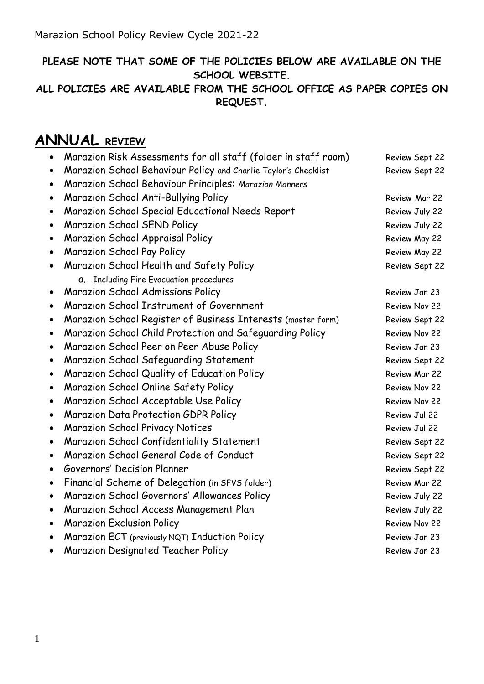### **PLEASE NOTE THAT SOME OF THE POLICIES BELOW ARE AVAILABLE ON THE SCHOOL WEBSITE.**

#### **ALL POLICIES ARE AVAILABLE FROM THE SCHOOL OFFICE AS PAPER COPIES ON REQUEST.**

# **ANNUAL REVIEW**

|           | Marazion Risk Assessments for all staff (folder in staff room)  | Review Sept 22 |
|-----------|-----------------------------------------------------------------|----------------|
| ٠         | Marazion School Behaviour Policy and Charlie Taylor's Checklist | Review Sept 22 |
| ٠         | Marazion School Behaviour Principles: Marazion Manners          |                |
| ٠         | Marazion School Anti-Bullying Policy                            | Review Mar 22  |
|           | Marazion School Special Educational Needs Report                | Review July 22 |
| ٠         | Marazion School SEND Policy                                     | Review July 22 |
| ٠         | Marazion School Appraisal Policy                                | Review May 22  |
| ٠         | Marazion School Pay Policy                                      | Review May 22  |
|           | Marazion School Health and Safety Policy                        | Review Sept 22 |
|           | a. Including Fire Evacuation procedures                         |                |
| $\bullet$ | <b>Marazion School Admissions Policy</b>                        | Review Jan 23  |
| $\bullet$ | Marazion School Instrument of Government                        | Review Nov 22  |
|           | Marazion School Register of Business Interests (master form)    | Review Sept 22 |
| $\bullet$ | Marazion School Child Protection and Safeguarding Policy        | Review Nov 22  |
| ٠         | Marazion School Peer on Peer Abuse Policy                       | Review Jan 23  |
| $\bullet$ | Marazion School Safeguarding Statement                          | Review Sept 22 |
| $\bullet$ | Marazion School Quality of Education Policy                     | Review Mar 22  |
| ٠         | Marazion School Online Safety Policy                            | Review Nov 22  |
| $\bullet$ | Marazion School Acceptable Use Policy                           | Review Nov 22  |
| ٠         | Marazion Data Protection GDPR Policy                            | Review Jul 22  |
|           | <b>Marazion School Privacy Notices</b>                          | Review Jul 22  |
| $\bullet$ | Marazion School Confidentiality Statement                       | Review Sept 22 |
| $\bullet$ | Marazion School General Code of Conduct                         | Review Sept 22 |
| $\bullet$ | Governors' Decision Planner                                     | Review Sept 22 |
| ٠         | Financial Scheme of Delegation (in SFVS folder)                 | Review Mar 22  |
| ٠         | Marazion School Governors' Allowances Policy                    | Review July 22 |
| $\bullet$ | Marazion School Access Management Plan                          | Review July 22 |
| ٠         | <b>Marazion Exclusion Policy</b>                                | Review Nov 22  |
|           | Marazion ECT (previously NQT) Induction Policy                  | Review Jan 23  |
|           | <b>Marazion Designated Teacher Policy</b>                       | Review Jan 23  |